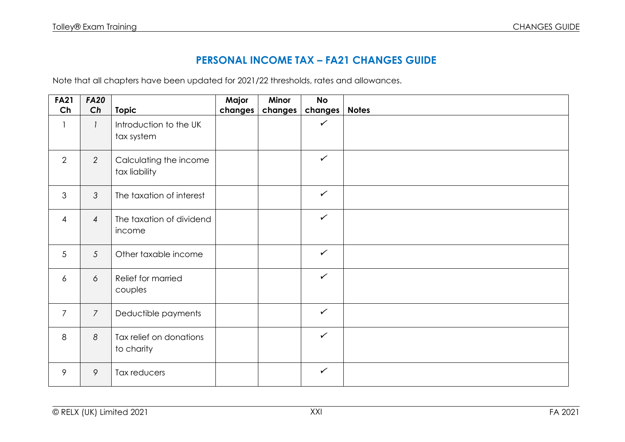## **PERSONAL INCOME TAX – FA21 CHANGES GUIDE**

Note that all chapters have been updated for 2021/22 thresholds, rates and allowances.

| <b>FA21</b><br>Ch        | <b>FA20</b>     |                          | Major   | Minor   | <b>No</b>    |              |
|--------------------------|-----------------|--------------------------|---------|---------|--------------|--------------|
|                          | Ch              | <b>Topic</b>             | changes | changes | changes      | <b>Notes</b> |
| $\overline{\phantom{a}}$ | $\mathcal{I}$   | Introduction to the UK   |         |         | $\checkmark$ |              |
|                          |                 | tax system               |         |         |              |              |
|                          |                 |                          |         |         |              |              |
| 2                        | $\overline{2}$  | Calculating the income   |         |         | $\checkmark$ |              |
|                          |                 | tax liability            |         |         |              |              |
|                          |                 |                          |         |         |              |              |
| $\mathfrak{Z}$           | $\mathfrak{Z}$  | The taxation of interest |         |         | $\checkmark$ |              |
|                          |                 |                          |         |         |              |              |
| $\overline{4}$           | $\overline{4}$  | The taxation of dividend |         |         | $\checkmark$ |              |
|                          |                 | income                   |         |         |              |              |
|                          |                 |                          |         |         |              |              |
| 5                        | $5\overline{)}$ | Other taxable income     |         |         | $\checkmark$ |              |
|                          |                 |                          |         |         |              |              |
| 6                        | 6               | Relief for married       |         |         | $\checkmark$ |              |
|                          |                 | couples                  |         |         |              |              |
|                          |                 |                          |         |         |              |              |
| $\overline{7}$           | $\overline{7}$  | Deductible payments      |         |         | $\checkmark$ |              |
|                          |                 |                          |         |         |              |              |
| 8                        | 8               | Tax relief on donations  |         |         | $\checkmark$ |              |
|                          |                 | to charity               |         |         |              |              |
|                          |                 |                          |         |         |              |              |
| 9                        | 9               | Tax reducers             |         |         | $\checkmark$ |              |
|                          |                 |                          |         |         |              |              |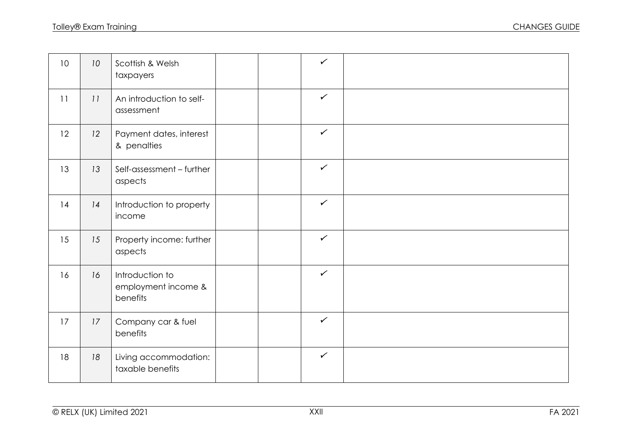| 10 <sup>°</sup> | 10 <sup>°</sup> | Scottish & Welsh<br>taxpayers                      |  | $\checkmark$ |  |
|-----------------|-----------------|----------------------------------------------------|--|--------------|--|
| 11              | 11              | An introduction to self-<br>assessment             |  | $\checkmark$ |  |
| 12              | 12              | Payment dates, interest<br>& penalties             |  | $\checkmark$ |  |
| 13              | 13              | Self-assessment - further<br>aspects               |  | $\checkmark$ |  |
| 14              | 14              | Introduction to property<br>income                 |  | $\checkmark$ |  |
| 15              | 15              | Property income: further<br>aspects                |  | $\checkmark$ |  |
| 16              | 16              | Introduction to<br>employment income &<br>benefits |  | $\checkmark$ |  |
| 17              | 17              | Company car & fuel<br>benefits                     |  | $\checkmark$ |  |
| 18              | 18              | Living accommodation:<br>taxable benefits          |  | $\checkmark$ |  |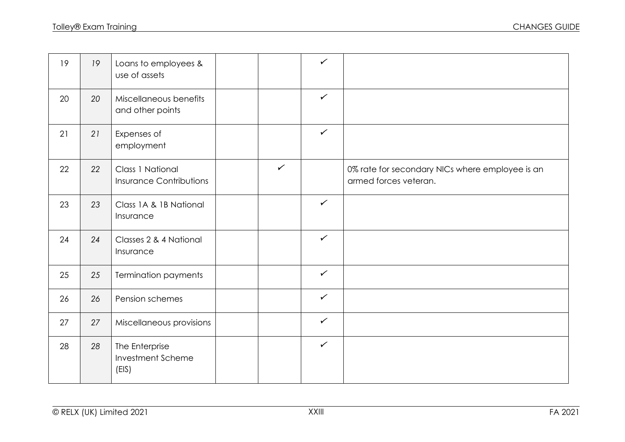| 19 | 19 | Loans to employees &<br>use of assets                     |              | $\checkmark$ |                                                                          |
|----|----|-----------------------------------------------------------|--------------|--------------|--------------------------------------------------------------------------|
| 20 | 20 | Miscellaneous benefits<br>and other points                |              | $\checkmark$ |                                                                          |
| 21 | 21 | Expenses of<br>employment                                 |              | $\checkmark$ |                                                                          |
| 22 | 22 | <b>Class 1 National</b><br><b>Insurance Contributions</b> | $\checkmark$ |              | 0% rate for secondary NICs where employee is an<br>armed forces veteran. |
| 23 | 23 | Class 1A & 1B National<br>Insurance                       |              | $\checkmark$ |                                                                          |
| 24 | 24 | Classes 2 & 4 National<br>Insurance                       |              | $\checkmark$ |                                                                          |
| 25 | 25 | <b>Termination payments</b>                               |              | $\checkmark$ |                                                                          |
| 26 | 26 | Pension schemes                                           |              | $\checkmark$ |                                                                          |
| 27 | 27 | Miscellaneous provisions                                  |              | $\checkmark$ |                                                                          |
| 28 | 28 | The Enterprise<br><b>Investment Scheme</b><br>(EIS)       |              | $\checkmark$ |                                                                          |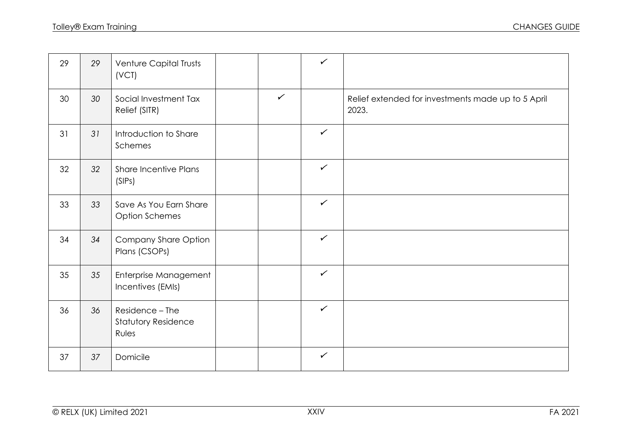| 29 | 29 | Venture Capital Trusts<br>(VCT)                        |              | $\checkmark$ |                                                             |
|----|----|--------------------------------------------------------|--------------|--------------|-------------------------------------------------------------|
| 30 | 30 | Social Investment Tax<br>Relief (SITR)                 | $\checkmark$ |              | Relief extended for investments made up to 5 April<br>2023. |
| 31 | 31 | Introduction to Share<br>Schemes                       |              | $\checkmark$ |                                                             |
| 32 | 32 | <b>Share Incentive Plans</b><br>(SIPs)                 |              | $\checkmark$ |                                                             |
| 33 | 33 | Save As You Earn Share<br><b>Option Schemes</b>        |              | $\checkmark$ |                                                             |
| 34 | 34 | Company Share Option<br>Plans (CSOPs)                  |              | $\checkmark$ |                                                             |
| 35 | 35 | Enterprise Management<br>Incentives (EMIs)             |              | $\checkmark$ |                                                             |
| 36 | 36 | Residence - The<br><b>Statutory Residence</b><br>Rules |              | $\checkmark$ |                                                             |
| 37 | 37 | Domicile                                               |              | $\checkmark$ |                                                             |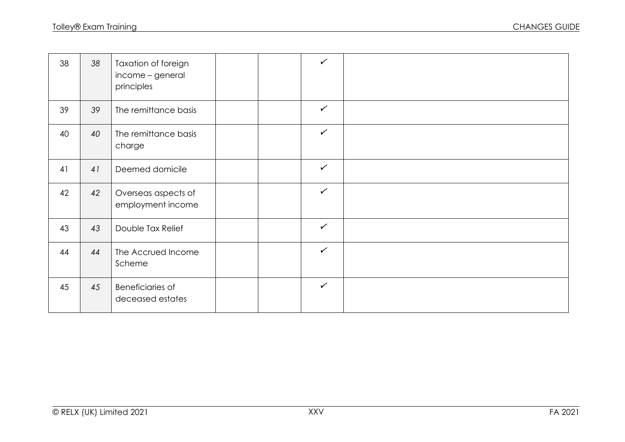| 38 | 38 | Taxation of foreign<br>income - general<br>principles |  | $\checkmark$ |  |
|----|----|-------------------------------------------------------|--|--------------|--|
| 39 | 39 | The remittance basis                                  |  | $\checkmark$ |  |
| 40 | 40 | The remittance basis<br>charge                        |  | $\checkmark$ |  |
| 41 | 41 | Deemed domicile                                       |  | $\checkmark$ |  |
| 42 | 42 | Overseas aspects of<br>employment income              |  | $\checkmark$ |  |
| 43 | 43 | Double Tax Relief                                     |  | $\checkmark$ |  |
| 44 | 44 | The Accrued Income<br>Scheme                          |  | $\checkmark$ |  |
| 45 | 45 | <b>Beneficiaries of</b><br>deceased estates           |  | $\checkmark$ |  |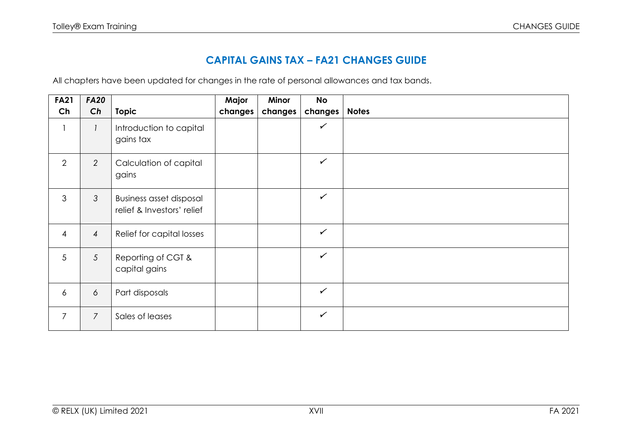## **CAPITAL GAINS TAX – FA21 CHANGES GUIDE**

All chapters have been updated for changes in the rate of personal allowances and tax bands.

| <b>FA21</b>    | <b>FA20</b>    |                                                              | Major   | Minor   | <b>No</b>    |              |
|----------------|----------------|--------------------------------------------------------------|---------|---------|--------------|--------------|
| Ch             | Ch             | <b>Topic</b>                                                 | changes | changes | changes      | <b>Notes</b> |
|                |                | Introduction to capital<br>gains tax                         |         |         | $\checkmark$ |              |
| $\overline{2}$ | 2              | Calculation of capital<br>gains                              |         |         | $\checkmark$ |              |
| 3              | $\mathcal{S}$  | <b>Business asset disposal</b><br>relief & Investors' relief |         |         | $\checkmark$ |              |
| $\overline{4}$ | $\overline{4}$ | Relief for capital losses                                    |         |         | $\checkmark$ |              |
| 5              | $\mathfrak{S}$ | Reporting of CGT &<br>capital gains                          |         |         | $\checkmark$ |              |
| 6              | 6              | Part disposals                                               |         |         | $\checkmark$ |              |
| $\overline{7}$ | $\overline{7}$ | Sales of leases                                              |         |         | $\checkmark$ |              |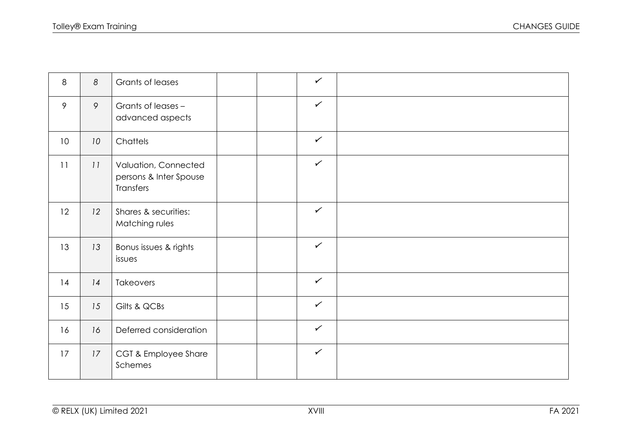| 8               | 8  | Grants of leases                                            | $\checkmark$ |  |
|-----------------|----|-------------------------------------------------------------|--------------|--|
| 9               | 9  | Grants of leases -<br>advanced aspects                      | $\checkmark$ |  |
| 10 <sup>°</sup> | 10 | Chattels                                                    | $\checkmark$ |  |
| 11              | 11 | Valuation, Connected<br>persons & Inter Spouse<br>Transfers | $\checkmark$ |  |
| 12              | 12 | Shares & securities:<br>Matching rules                      | $\checkmark$ |  |
| 13              | 13 | Bonus issues & rights<br>issues                             | $\checkmark$ |  |
| 14              | 14 | Takeovers                                                   | $\checkmark$ |  |
| 15              | 15 | Gilts & QCBs                                                | $\checkmark$ |  |
| 16              | 16 | Deferred consideration                                      | $\checkmark$ |  |
| 17              | 17 | CGT & Employee Share<br>Schemes                             | $\checkmark$ |  |